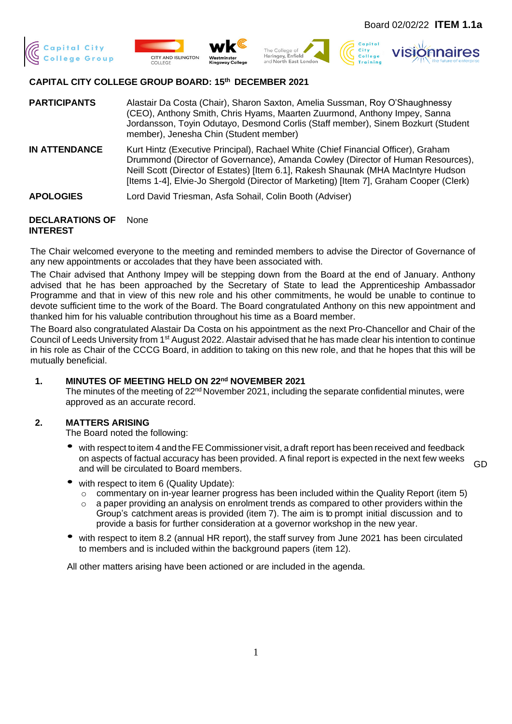







### **CAPITAL CITY COLLEGE GROUP BOARD: 15th DECEMBER 2021**

**PARTICIPANTS** Alastair Da Costa (Chair), Sharon Saxton, Amelia Sussman, Roy O'Shaughnessy (CEO), Anthony Smith, Chris Hyams, Maarten Zuurmond, Anthony Impey, Sanna Jordansson, Toyin Odutayo, Desmond Corlis (Staff member), Sinem Bozkurt (Student member), Jenesha Chin (Student member)

- **IN ATTENDANCE** Kurt Hintz (Executive Principal), Rachael White (Chief Financial Officer), Graham Drummond (Director of Governance), Amanda Cowley (Director of Human Resources), Neill Scott (Director of Estates) [Item 6.1], Rakesh Shaunak (MHA MacIntyre Hudson [Items 1-4], Elvie-Jo Shergold (Director of Marketing) [Item 7], Graham Cooper (Clerk)
- **APOLOGIES** Lord David Triesman, Asfa Sohail, Colin Booth (Adviser)

#### **DECLARATIONS OF INTEREST** None

The Chair welcomed everyone to the meeting and reminded members to advise the Director of Governance of any new appointments or accolades that they have been associated with.

The Chair advised that Anthony Impey will be stepping down from the Board at the end of January. Anthony advised that he has been approached by the Secretary of State to lead the Apprenticeship Ambassador Programme and that in view of this new role and his other commitments, he would be unable to continue to devote sufficient time to the work of the Board. The Board congratulated Anthony on this new appointment and thanked him for his valuable contribution throughout his time as a Board member.

The Board also congratulated Alastair Da Costa on his appointment as the next Pro-Chancellor and Chair of the Council of Leeds University from 1<sup>st</sup> August 2022. Alastair advised that he has made clear his intention to continue in his role as Chair of the CCCG Board, in addition to taking on this new role, and that he hopes that this will be mutually beneficial.

### **1. MINUTES OF MEETING HELD ON 22 nd NOVEMBER 2021**

The minutes of the meeting of  $22<sup>nd</sup>$  November 2021, including the separate confidential minutes, were approved as an accurate record.

### **2. MATTERS ARISING**

The Board noted the following:

with respect to item 4 and the FE Commissioner visit, a draft report has been received and feedback on aspects of factual accuracy has been provided. A final report is expected in the next few weeks and will be circulated to Board members.

GD

- with respect to item 6 (Quality Update):
	- o commentary on in-year learner progress has been included within the Quality Report (item 5)
	- $\circ$  a paper providing an analysis on enrolment trends as compared to other providers within the Group's catchment areas is provided (item 7). The aim is to prompt initial discussion and to provide a basis for further consideration at a governor workshop in the new year.
- with respect to item 8.2 (annual HR report), the staff survey from June 2021 has been circulated to members and is included within the background papers (item 12).

All other matters arising have been actioned or are included in the agenda.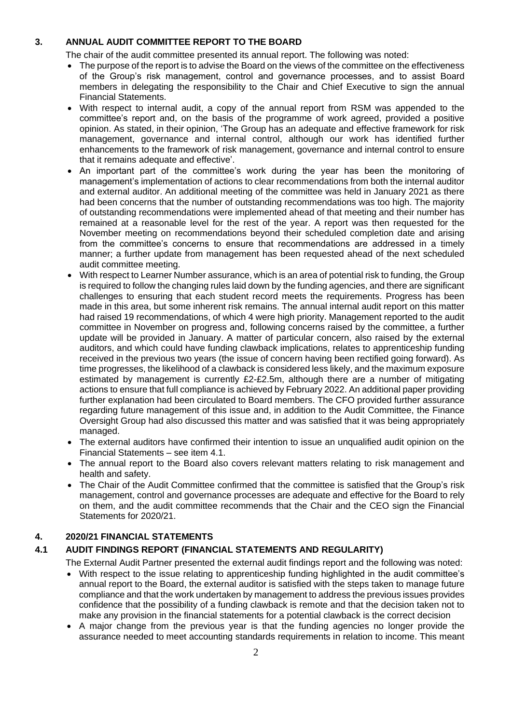# **3. ANNUAL AUDIT COMMITTEE REPORT TO THE BOARD**

The chair of the audit committee presented its annual report. The following was noted:

- The purpose of the report is to advise the Board on the views of the committee on the effectiveness of the Group's risk management, control and governance processes, and to assist Board members in delegating the responsibility to the Chair and Chief Executive to sign the annual Financial Statements.
- With respect to internal audit, a copy of the annual report from RSM was appended to the committee's report and, on the basis of the programme of work agreed, provided a positive opinion. As stated, in their opinion, 'The Group has an adequate and effective framework for risk management, governance and internal control, although our work has identified further enhancements to the framework of risk management, governance and internal control to ensure that it remains adequate and effective'.
- An important part of the committee's work during the year has been the monitoring of management's implementation of actions to clear recommendations from both the internal auditor and external auditor. An additional meeting of the committee was held in January 2021 as there had been concerns that the number of outstanding recommendations was too high. The majority of outstanding recommendations were implemented ahead of that meeting and their number has remained at a reasonable level for the rest of the year. A report was then requested for the November meeting on recommendations beyond their scheduled completion date and arising from the committee's concerns to ensure that recommendations are addressed in a timely manner; a further update from management has been requested ahead of the next scheduled audit committee meeting.
- With respect to Learner Number assurance, which is an area of potential risk to funding, the Group is required to follow the changing rules laid down by the funding agencies, and there are significant challenges to ensuring that each student record meets the requirements. Progress has been made in this area, but some inherent risk remains. The annual internal audit report on this matter had raised 19 recommendations, of which 4 were high priority. Management reported to the audit committee in November on progress and, following concerns raised by the committee, a further update will be provided in January. A matter of particular concern, also raised by the external auditors, and which could have funding clawback implications, relates to apprenticeship funding received in the previous two years (the issue of concern having been rectified going forward). As time progresses, the likelihood of a clawback is considered less likely, and the maximum exposure estimated by management is currently £2-£2.5m, although there are a number of mitigating actions to ensure that full compliance is achieved by February 2022. An additional paper providing further explanation had been circulated to Board members. The CFO provided further assurance regarding future management of this issue and, in addition to the Audit Committee, the Finance Oversight Group had also discussed this matter and was satisfied that it was being appropriately managed.
- The external auditors have confirmed their intention to issue an unqualified audit opinion on the Financial Statements – see item 4.1.
- The annual report to the Board also covers relevant matters relating to risk management and health and safety.
- The Chair of the Audit Committee confirmed that the committee is satisfied that the Group's risk management, control and governance processes are adequate and effective for the Board to rely on them, and the audit committee recommends that the Chair and the CEO sign the Financial Statements for 2020/21.

## **4. 2020/21 FINANCIAL STATEMENTS**

## **4.1 AUDIT FINDINGS REPORT (FINANCIAL STATEMENTS AND REGULARITY)**

The External Audit Partner presented the external audit findings report and the following was noted:

- With respect to the issue relating to apprenticeship funding highlighted in the audit committee's annual report to the Board, the external auditor is satisfied with the steps taken to manage future compliance and that the work undertaken by management to address the previous issues provides confidence that the possibility of a funding clawback is remote and that the decision taken not to make any provision in the financial statements for a potential clawback is the correct decision
- A major change from the previous year is that the funding agencies no longer provide the assurance needed to meet accounting standards requirements in relation to income. This meant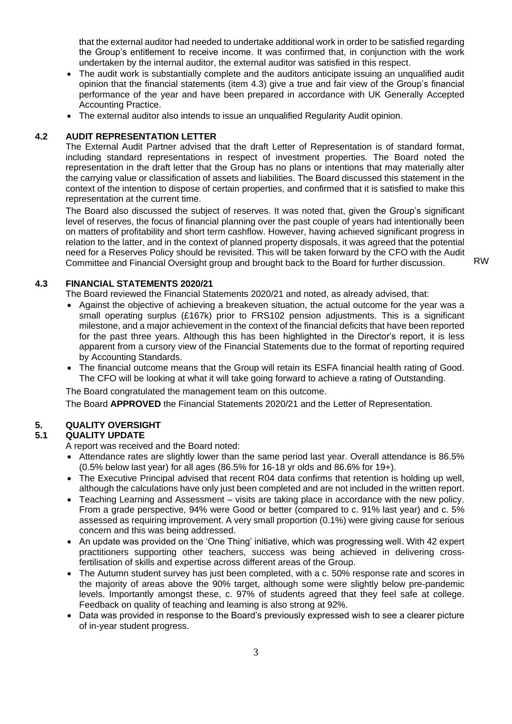that the external auditor had needed to undertake additional work in order to be satisfied regarding the Group's entitlement to receive income. It was confirmed that, in conjunction with the work undertaken by the internal auditor, the external auditor was satisfied in this respect.

- The audit work is substantially complete and the auditors anticipate issuing an unqualified audit opinion that the financial statements (item 4.3) give a true and fair view of the Group's financial performance of the year and have been prepared in accordance with UK Generally Accepted Accounting Practice.
- The external auditor also intends to issue an unqualified Regularity Audit opinion.

#### **4.2 AUDIT REPRESENTATION LETTER**

The External Audit Partner advised that the draft Letter of Representation is of standard format, including standard representations in respect of investment properties. The Board noted the representation in the draft letter that the Group has no plans or intentions that may materially alter the carrying value or classification of assets and liabilities. The Board discussed this statement in the context of the intention to dispose of certain properties, and confirmed that it is satisfied to make this representation at the current time.

The Board also discussed the subject of reserves. It was noted that, given the Group's significant level of reserves, the focus of financial planning over the past couple of years had intentionally been on matters of profitability and short term cashflow. However, having achieved significant progress in relation to the latter, and in the context of planned property disposals, it was agreed that the potential need for a Reserves Policy should be revisited. This will be taken forward by the CFO with the Audit Committee and Financial Oversight group and brought back to the Board for further discussion. RW

### **4.3 FINANCIAL STATEMENTS 2020/21**

The Board reviewed the Financial Statements 2020/21 and noted, as already advised, that:

- Against the objective of achieving a breakeven situation, the actual outcome for the year was a small operating surplus (£167k) prior to FRS102 pension adjustments. This is a significant milestone, and a major achievement in the context of the financial deficits that have been reported for the past three years. Although this has been highlighted in the Director's report, it is less apparent from a cursory view of the Financial Statements due to the format of reporting required by Accounting Standards.
- The financial outcome means that the Group will retain its ESFA financial health rating of Good. The CFO will be looking at what it will take going forward to achieve a rating of Outstanding.

The Board congratulated the management team on this outcome.

The Board **APPROVED** the Financial Statements 2020/21 and the Letter of Representation.

### **5. QUALITY OVERSIGHT**

#### **5.1 QUALITY UPDATE**

A report was received and the Board noted:

- Attendance rates are slightly lower than the same period last year. Overall attendance is 86.5% (0.5% below last year) for all ages (86.5% for 16-18 yr olds and 86.6% for 19+).
- The Executive Principal advised that recent R04 data confirms that retention is holding up well, although the calculations have only just been completed and are not included in the written report.
- Teaching Learning and Assessment visits are taking place in accordance with the new policy. From a grade perspective, 94% were Good or better (compared to c. 91% last year) and c. 5% assessed as requiring improvement. A very small proportion (0.1%) were giving cause for serious concern and this was being addressed.
- An update was provided on the 'One Thing' initiative, which was progressing well. With 42 expert practitioners supporting other teachers, success was being achieved in delivering crossfertilisation of skills and expertise across different areas of the Group.
- The Autumn student survey has just been completed, with a c. 50% response rate and scores in the majority of areas above the 90% target, although some were slightly below pre-pandemic levels. Importantly amongst these, c. 97% of students agreed that they feel safe at college. Feedback on quality of teaching and learning is also strong at 92%.
- Data was provided in response to the Board's previously expressed wish to see a clearer picture of in-year student progress.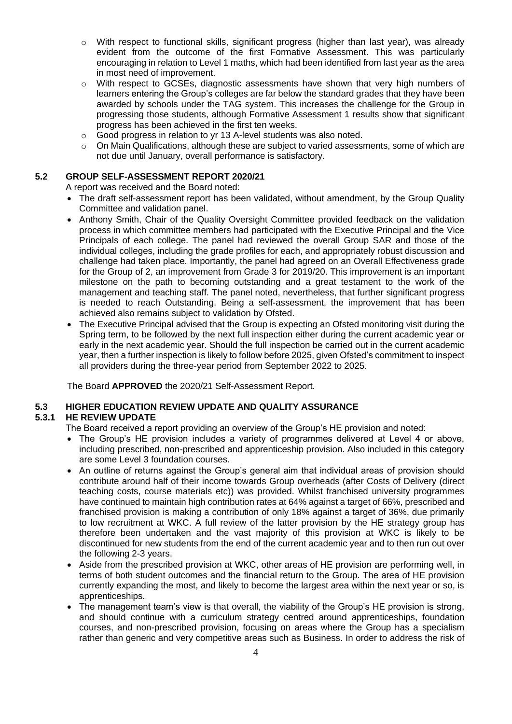- o With respect to functional skills, significant progress (higher than last year), was already evident from the outcome of the first Formative Assessment. This was particularly encouraging in relation to Level 1 maths, which had been identified from last year as the area in most need of improvement.
- $\circ$  With respect to GCSEs, diagnostic assessments have shown that very high numbers of learners entering the Group's colleges are far below the standard grades that they have been awarded by schools under the TAG system. This increases the challenge for the Group in progressing those students, although Formative Assessment 1 results show that significant progress has been achieved in the first ten weeks.
- o Good progress in relation to yr 13 A-level students was also noted.
- o On Main Qualifications, although these are subject to varied assessments, some of which are not due until January, overall performance is satisfactory.

### **5.2 GROUP SELF-ASSESSMENT REPORT 2020/21**

A report was received and the Board noted:

- The draft self-assessment report has been validated, without amendment, by the Group Quality Committee and validation panel.
- Anthony Smith, Chair of the Quality Oversight Committee provided feedback on the validation process in which committee members had participated with the Executive Principal and the Vice Principals of each college. The panel had reviewed the overall Group SAR and those of the individual colleges, including the grade profiles for each, and appropriately robust discussion and challenge had taken place. Importantly, the panel had agreed on an Overall Effectiveness grade for the Group of 2, an improvement from Grade 3 for 2019/20. This improvement is an important milestone on the path to becoming outstanding and a great testament to the work of the management and teaching staff. The panel noted, nevertheless, that further significant progress is needed to reach Outstanding. Being a self-assessment, the improvement that has been achieved also remains subject to validation by Ofsted.
- The Executive Principal advised that the Group is expecting an Ofsted monitoring visit during the Spring term, to be followed by the next full inspection either during the current academic year or early in the next academic year. Should the full inspection be carried out in the current academic year, then a further inspection is likely to follow before 2025, given Ofsted's commitment to inspect all providers during the three-year period from September 2022 to 2025.

The Board **APPROVED** the 2020/21 Self-Assessment Report.

## **5.3 HIGHER EDUCATION REVIEW UPDATE AND QUALITY ASSURANCE**

## **5.3.1 HE REVIEW UPDATE**

The Board received a report providing an overview of the Group's HE provision and noted:

- The Group's HE provision includes a variety of programmes delivered at Level 4 or above, including prescribed, non-prescribed and apprenticeship provision. Also included in this category are some Level 3 foundation courses.
- An outline of returns against the Group's general aim that individual areas of provision should contribute around half of their income towards Group overheads (after Costs of Delivery (direct teaching costs, course materials etc)) was provided. Whilst franchised university programmes have continued to maintain high contribution rates at 64% against a target of 66%, prescribed and franchised provision is making a contribution of only 18% against a target of 36%, due primarily to low recruitment at WKC. A full review of the latter provision by the HE strategy group has therefore been undertaken and the vast majority of this provision at WKC is likely to be discontinued for new students from the end of the current academic year and to then run out over the following 2-3 years.
- Aside from the prescribed provision at WKC, other areas of HE provision are performing well, in terms of both student outcomes and the financial return to the Group. The area of HE provision currently expanding the most, and likely to become the largest area within the next year or so, is apprenticeships.
- The management team's view is that overall, the viability of the Group's HE provision is strong, and should continue with a curriculum strategy centred around apprenticeships, foundation courses, and non-prescribed provision, focusing on areas where the Group has a specialism rather than generic and very competitive areas such as Business. In order to address the risk of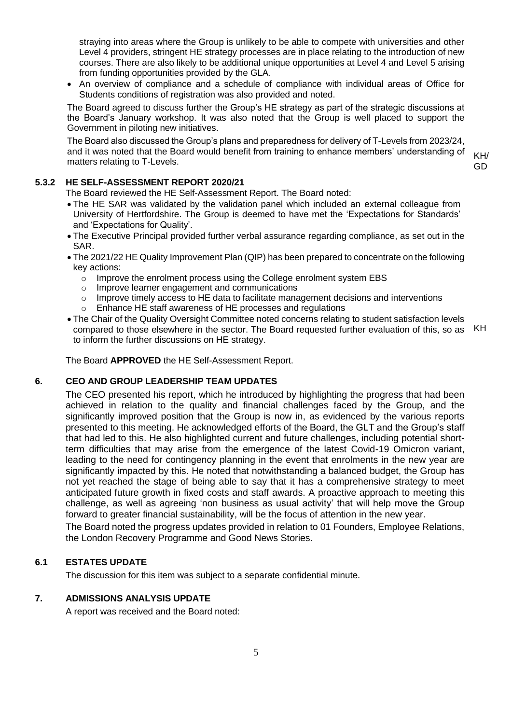straying into areas where the Group is unlikely to be able to compete with universities and other Level 4 providers, stringent HE strategy processes are in place relating to the introduction of new courses. There are also likely to be additional unique opportunities at Level 4 and Level 5 arising from funding opportunities provided by the GLA.

• An overview of compliance and a schedule of compliance with individual areas of Office for Students conditions of registration was also provided and noted.

The Board agreed to discuss further the Group's HE strategy as part of the strategic discussions at the Board's January workshop. It was also noted that the Group is well placed to support the Government in piloting new initiatives.

The Board also discussed the Group's plans and preparedness for delivery of T-Levels from 2023/24, and it was noted that the Board would benefit from training to enhance members' understanding of matters relating to T-Levels.

KH/ GD

**5.3.2 HE SELF-ASSESSMENT REPORT 2020/21**

The Board reviewed the HE Self-Assessment Report. The Board noted:

- The HE SAR was validated by the validation panel which included an external colleague from University of Hertfordshire. The Group is deemed to have met the 'Expectations for Standards' and 'Expectations for Quality'.
- The Executive Principal provided further verbal assurance regarding compliance, as set out in the SAR.
- The 2021/22 HE Quality Improvement Plan (QIP) has been prepared to concentrate on the following key actions:
	- $\circ$  Improve the enrolment process using the College enrolment system EBS
	- o Improve learner engagement and communications
	- $\circ$  Improve timely access to HE data to facilitate management decisions and interventions
	- Enhance HE staff awareness of HE processes and regulations
- The Chair of the Quality Oversight Committee noted concerns relating to student satisfaction levels compared to those elsewhere in the sector. The Board requested further evaluation of this, so as KH to inform the further discussions on HE strategy.

The Board **APPROVED** the HE Self-Assessment Report.

#### **6. CEO AND GROUP LEADERSHIP TEAM UPDATES**

The CEO presented his report, which he introduced by highlighting the progress that had been achieved in relation to the quality and financial challenges faced by the Group, and the significantly improved position that the Group is now in, as evidenced by the various reports presented to this meeting. He acknowledged efforts of the Board, the GLT and the Group's staff that had led to this. He also highlighted current and future challenges, including potential shortterm difficulties that may arise from the emergence of the latest Covid-19 Omicron variant, leading to the need for contingency planning in the event that enrolments in the new year are significantly impacted by this. He noted that notwithstanding a balanced budget, the Group has not yet reached the stage of being able to say that it has a comprehensive strategy to meet anticipated future growth in fixed costs and staff awards. A proactive approach to meeting this challenge, as well as agreeing 'non business as usual activity' that will help move the Group forward to greater financial sustainability, will be the focus of attention in the new year.

The Board noted the progress updates provided in relation to 01 Founders, Employee Relations, the London Recovery Programme and Good News Stories.

#### **6.1 ESTATES UPDATE**

The discussion for this item was subject to a separate confidential minute.

### **7. ADMISSIONS ANALYSIS UPDATE**

A report was received and the Board noted: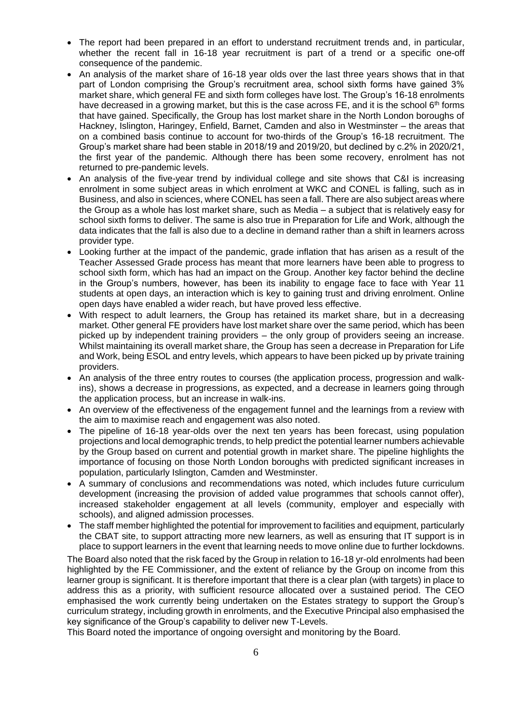- The report had been prepared in an effort to understand recruitment trends and, in particular, whether the recent fall in 16-18 year recruitment is part of a trend or a specific one-off consequence of the pandemic.
- An analysis of the market share of 16-18 year olds over the last three years shows that in that part of London comprising the Group's recruitment area, school sixth forms have gained 3% market share, which general FE and sixth form colleges have lost. The Group's 16-18 enrolments have decreased in a growing market, but this is the case across FE, and it is the school 6<sup>th</sup> forms that have gained. Specifically, the Group has lost market share in the North London boroughs of Hackney, Islington, Haringey, Enfield, Barnet, Camden and also in Westminster – the areas that on a combined basis continue to account for two-thirds of the Group's 16-18 recruitment. The Group's market share had been stable in 2018/19 and 2019/20, but declined by c.2% in 2020/21, the first year of the pandemic. Although there has been some recovery, enrolment has not returned to pre-pandemic levels.
- An analysis of the five-year trend by individual college and site shows that C&I is increasing enrolment in some subject areas in which enrolment at WKC and CONEL is falling, such as in Business, and also in sciences, where CONEL has seen a fall. There are also subject areas where the Group as a whole has lost market share, such as Media – a subject that is relatively easy for school sixth forms to deliver. The same is also true in Preparation for Life and Work, although the data indicates that the fall is also due to a decline in demand rather than a shift in learners across provider type.
- Looking further at the impact of the pandemic, grade inflation that has arisen as a result of the Teacher Assessed Grade process has meant that more learners have been able to progress to school sixth form, which has had an impact on the Group. Another key factor behind the decline in the Group's numbers, however, has been its inability to engage face to face with Year 11 students at open days, an interaction which is key to gaining trust and driving enrolment. Online open days have enabled a wider reach, but have proved less effective.
- With respect to adult learners, the Group has retained its market share, but in a decreasing market. Other general FE providers have lost market share over the same period, which has been picked up by independent training providers – the only group of providers seeing an increase. Whilst maintaining its overall market share, the Group has seen a decrease in Preparation for Life and Work, being ESOL and entry levels, which appears to have been picked up by private training providers.
- An analysis of the three entry routes to courses (the application process, progression and walkins), shows a decrease in progressions, as expected, and a decrease in learners going through the application process, but an increase in walk-ins.
- An overview of the effectiveness of the engagement funnel and the learnings from a review with the aim to maximise reach and engagement was also noted.
- The pipeline of 16-18 year-olds over the next ten years has been forecast, using population projections and local demographic trends, to help predict the potential learner numbers achievable by the Group based on current and potential growth in market share. The pipeline highlights the importance of focusing on those North London boroughs with predicted significant increases in population, particularly Islington, Camden and Westminster.
- A summary of conclusions and recommendations was noted, which includes future curriculum development (increasing the provision of added value programmes that schools cannot offer), increased stakeholder engagement at all levels (community, employer and especially with schools), and aligned admission processes.
- The staff member highlighted the potential for improvement to facilities and equipment, particularly the CBAT site, to support attracting more new learners, as well as ensuring that IT support is in place to support learners in the event that learning needs to move online due to further lockdowns.

The Board also noted that the risk faced by the Group in relation to 16-18 yr-old enrolments had been highlighted by the FE Commissioner, and the extent of reliance by the Group on income from this learner group is significant. It is therefore important that there is a clear plan (with targets) in place to address this as a priority, with sufficient resource allocated over a sustained period. The CEO emphasised the work currently being undertaken on the Estates strategy to support the Group's curriculum strategy, including growth in enrolments, and the Executive Principal also emphasised the key significance of the Group's capability to deliver new T-Levels.

This Board noted the importance of ongoing oversight and monitoring by the Board.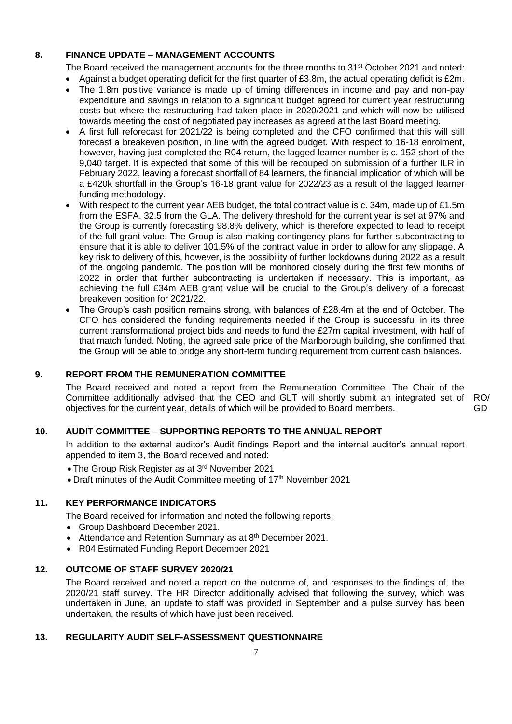### **8. FINANCE UPDATE – MANAGEMENT ACCOUNTS**

The Board received the management accounts for the three months to 31<sup>st</sup> October 2021 and noted:

- Against a budget operating deficit for the first quarter of £3.8m, the actual operating deficit is £2m.
- The 1.8m positive variance is made up of timing differences in income and pay and non-pay expenditure and savings in relation to a significant budget agreed for current year restructuring costs but where the restructuring had taken place in 2020/2021 and which will now be utilised towards meeting the cost of negotiated pay increases as agreed at the last Board meeting.
- A first full reforecast for 2021/22 is being completed and the CFO confirmed that this will still forecast a breakeven position, in line with the agreed budget. With respect to 16-18 enrolment, however, having just completed the R04 return, the lagged learner number is c. 152 short of the 9,040 target. It is expected that some of this will be recouped on submission of a further ILR in February 2022, leaving a forecast shortfall of 84 learners, the financial implication of which will be a £420k shortfall in the Group's 16-18 grant value for 2022/23 as a result of the lagged learner funding methodology.
- With respect to the current year AEB budget, the total contract value is c. 34m, made up of £1.5m from the ESFA, 32.5 from the GLA. The delivery threshold for the current year is set at 97% and the Group is currently forecasting 98.8% delivery, which is therefore expected to lead to receipt of the full grant value. The Group is also making contingency plans for further subcontracting to ensure that it is able to deliver 101.5% of the contract value in order to allow for any slippage. A key risk to delivery of this, however, is the possibility of further lockdowns during 2022 as a result of the ongoing pandemic. The position will be monitored closely during the first few months of 2022 in order that further subcontracting is undertaken if necessary. This is important, as achieving the full £34m AEB grant value will be crucial to the Group's delivery of a forecast breakeven position for 2021/22.
- The Group's cash position remains strong, with balances of £28.4m at the end of October. The CFO has considered the funding requirements needed if the Group is successful in its three current transformational project bids and needs to fund the £27m capital investment, with half of that match funded. Noting, the agreed sale price of the Marlborough building, she confirmed that the Group will be able to bridge any short-term funding requirement from current cash balances.

### **9. REPORT FROM THE REMUNERATION COMMITTEE**

The Board received and noted a report from the Remuneration Committee. The Chair of the Committee additionally advised that the CEO and GLT will shortly submit an integrated set of objectives for the current year, details of which will be provided to Board members.

#### RO/ GD

### **10. AUDIT COMMITTEE – SUPPORTING REPORTS TO THE ANNUAL REPORT**

In addition to the external auditor's Audit findings Report and the internal auditor's annual report appended to item 3, the Board received and noted:

- The Group Risk Register as at 3<sup>rd</sup> November 2021
- Draft minutes of the Audit Committee meeting of 17<sup>th</sup> November 2021

#### **11. KEY PERFORMANCE INDICATORS**

The Board received for information and noted the following reports:

- Group Dashboard December 2021.
- Attendance and Retention Summary as at 8<sup>th</sup> December 2021.
- R04 Estimated Funding Report December 2021

#### **12. OUTCOME OF STAFF SURVEY 2020/21**

The Board received and noted a report on the outcome of, and responses to the findings of, the 2020/21 staff survey. The HR Director additionally advised that following the survey, which was undertaken in June, an update to staff was provided in September and a pulse survey has been undertaken, the results of which have just been received.

#### **13. REGULARITY AUDIT SELF-ASSESSMENT QUESTIONNAIRE**